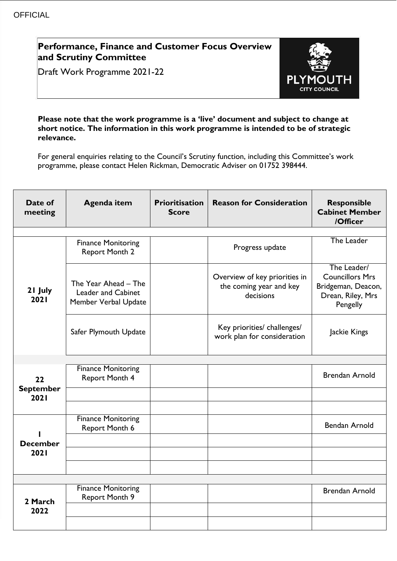# **Performance, Finance and Customer Focus Overview and Scrutiny Committee**

Draft Work Programme 2021-22



#### **Please note that the work programme is a 'live' document and subject to change at short notice. The information in this work programme is intended to be of strategic relevance.**

For general enquiries relating to the Council's Scrutiny function, including this Committee's work programme, please contact Helen Rickman, Democratic Adviser on 01752 398444.

| Date of<br>meeting     | <b>Agenda item</b>                                                        | <b>Prioritisation</b><br>Score | <b>Reason for Consideration</b>                                       | <b>Responsible</b><br><b>Cabinet Member</b><br>/Officer                                      |
|------------------------|---------------------------------------------------------------------------|--------------------------------|-----------------------------------------------------------------------|----------------------------------------------------------------------------------------------|
|                        |                                                                           |                                |                                                                       |                                                                                              |
|                        | <b>Finance Monitoring</b><br><b>Report Month 2</b>                        |                                | Progress update                                                       | The Leader                                                                                   |
| 21 July<br>2021        | The Year Ahead - The<br><b>Leader and Cabinet</b><br>Member Verbal Update |                                | Overview of key priorities in<br>the coming year and key<br>decisions | The Leader/<br><b>Councillors Mrs</b><br>Bridgeman, Deacon,<br>Drean, Riley, Mrs<br>Pengelly |
|                        | Safer Plymouth Update                                                     |                                | Key priorities/ challenges/<br>work plan for consideration            | Jackie Kings                                                                                 |
|                        |                                                                           |                                |                                                                       |                                                                                              |
| 22<br><b>September</b> | <b>Finance Monitoring</b><br>Report Month 4                               |                                |                                                                       | <b>Brendan Arnold</b>                                                                        |
| 2021                   |                                                                           |                                |                                                                       |                                                                                              |
| <b>December</b>        | <b>Finance Monitoring</b><br>Report Month 6                               |                                |                                                                       | <b>Bendan Arnold</b>                                                                         |
| 2021                   |                                                                           |                                |                                                                       |                                                                                              |
|                        |                                                                           |                                |                                                                       |                                                                                              |
|                        |                                                                           |                                |                                                                       |                                                                                              |
| 2 March                | <b>Finance Monitoring</b><br>Report Month 9                               |                                |                                                                       | <b>Brendan Arnold</b>                                                                        |
| 2022                   |                                                                           |                                |                                                                       |                                                                                              |
|                        |                                                                           |                                |                                                                       |                                                                                              |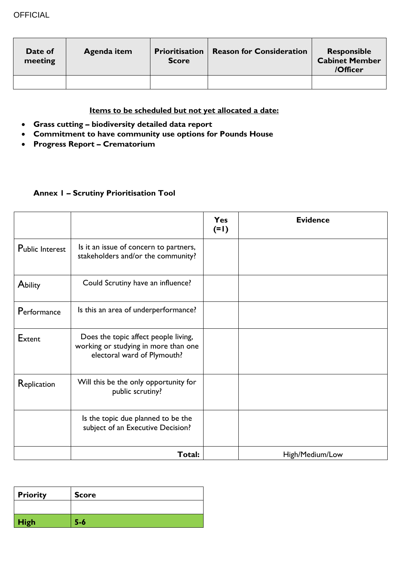| Date of<br>meeting | Agenda item | <b>Prioritisation</b><br><b>Score</b> | <b>Reason for Consideration</b> | <b>Responsible</b><br><b>Cabinet Member</b><br>/Officer |
|--------------------|-------------|---------------------------------------|---------------------------------|---------------------------------------------------------|
|                    |             |                                       |                                 |                                                         |

### **Items to be scheduled but not yet allocated a date:**

- **Grass cutting – biodiversity detailed data report**
- **Commitment to have community use options for Pounds House**
- **Progress Report – Crematorium**

### **Annex 1 – Scrutiny Prioritisation Tool**

|                        |                                                                                                             | Yes<br>$(=1)$ | <b>Evidence</b> |
|------------------------|-------------------------------------------------------------------------------------------------------------|---------------|-----------------|
| <b>Public Interest</b> | Is it an issue of concern to partners,<br>stakeholders and/or the community?                                |               |                 |
| Ability                | Could Scrutiny have an influence?                                                                           |               |                 |
| Performance            | Is this an area of underperformance?                                                                        |               |                 |
| Extent                 | Does the topic affect people living,<br>working or studying in more than one<br>electoral ward of Plymouth? |               |                 |
| Replication            | Will this be the only opportunity for<br>public scrutiny?                                                   |               |                 |
|                        | Is the topic due planned to be the<br>subject of an Executive Decision?                                     |               |                 |
|                        | Total:                                                                                                      |               | High/Medium/Low |

| <b>Priority</b> | <b>Score</b> |
|-----------------|--------------|
|                 |              |
| <b>High</b>     | 5-6          |